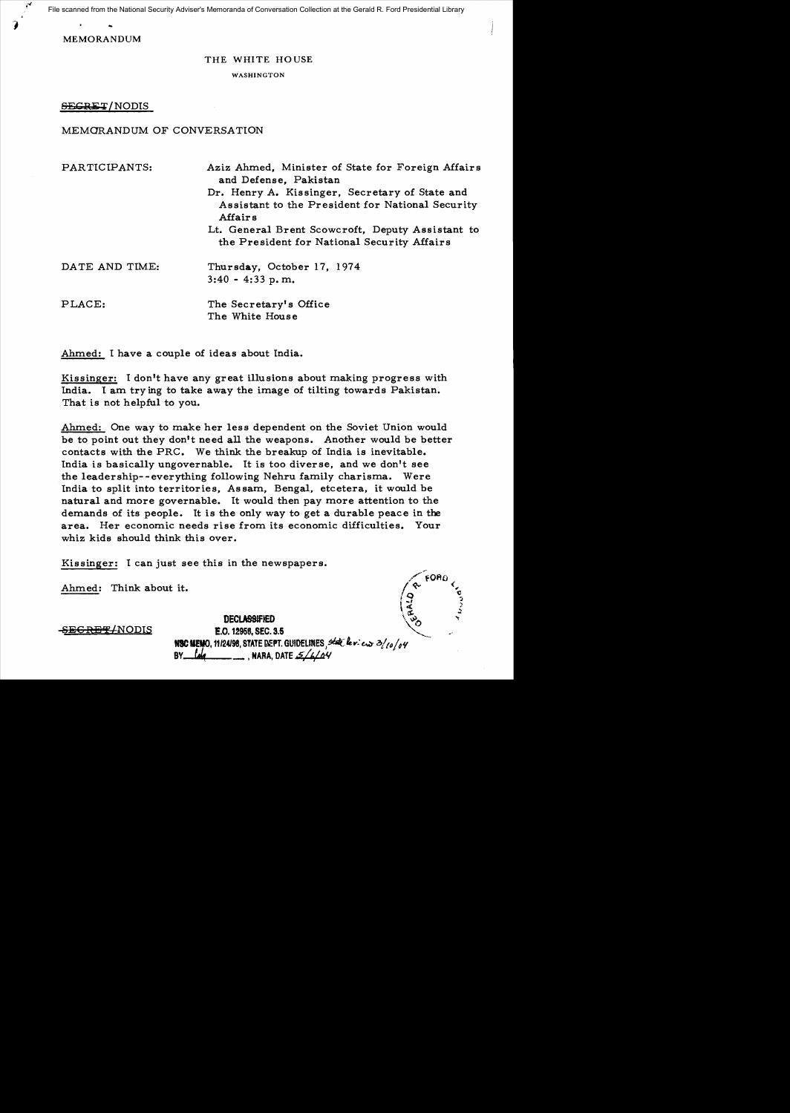File scanned from the National Security Adviser's Memoranda of Conversation Collection at the Gerald R. Ford Presidential Library

MEMORANDUM

# THE WHITE HOUSE

**WASHINGTON** 

SEGRET/NODIS

# MEMORANDUM OF CONVERSATION

| PARTICIPANTS:  | Aziz Ahmed, Minister of State for Foreign Affairs<br>and Defense, Pakistan                                     |
|----------------|----------------------------------------------------------------------------------------------------------------|
|                | Dr. Henry A. Kissinger, Secretary of State and<br>Assistant to the President for National Security<br>Affair s |
|                | Lt. General Brent Scowcroft, Deputy Assistant to<br>the President for National Security Affairs                |
| DATE AND TIME: | Thursday, October 17, 1974<br>$3:40 - 4:33$ p.m.                                                               |
| PLACE:         | The Secretary's Office<br>The White House                                                                      |

Ahmed: I have a couple of ideas about India.

Kissinger: I don't have any great illusions about making progress with India. I am try ing to take away the image of tilting towards Pakistan. That is not helpful to you.

Ahmed: One way to make her less dependent on the Soviet Union would be to point out they don't need all the weapons. Another would be better contacts with the PRC. We think the breakup of India is inevitable. India is basically ungovernable. It is too diverse, and we don't see the leadership--everything following Nehru family charisma. Were India to split into territories, Assam, Bengal, etcetera, it would be natural and more governable. It would then pay more attention to the demands of its people. It is the only way to get a durable peace in the area. Her economic needs rise from its economic difficulties. Your whiz kids should think this over.

Kissinger: I can just see this in the newspapers.

Ahmed: Think about it.

 $\sim$  FORD. 1 0 i;i, \ *j* } ~

 $\frac{DEGRE T/ NODIS}{E.0.12958, SEC.3.5}$  ... NSC MEMO. 11124198, STATE DEPT. GUIDELINES, *State leview 3/10/04* BY ~ \_ , HAFlA, DATE e,1'/Il~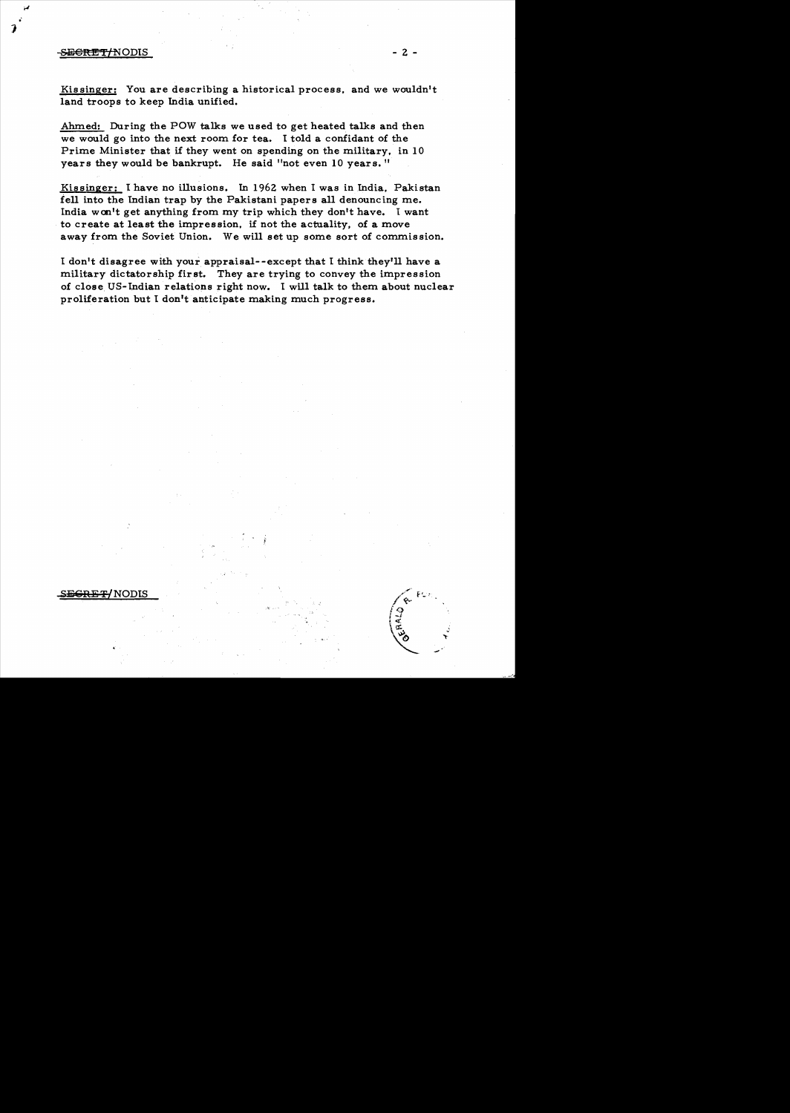## ~€nU!JTtNODIS - 2 -

 $\boldsymbol{\jmath}$ 

Ahmed: During the POW talks we used to get heated talks and then we would go into the next room for tea. I told a confidant of the Prime Minister that if they went on spending on the military, in 10 years they would be bankrupt. He said "not even 10 years. "

Kissinger: I have no illusions. In 1962 when I was in India, Pakistan fell into the Indian trap by the Pakistani papers all denouncing me. India wcn't get anything from my trip which they don't have. I want to create at least the impression, if not the actuality, of a move away from the Soviet Union. We will set up some sort of commission.

I don't disagree with your appraisal--except that I think they'll have a military dictatorship first. They are trying to convey the impression of close. US- Indian relations right now. I will talk to them about nuclear proliferation but I don't anticipate making much progress.

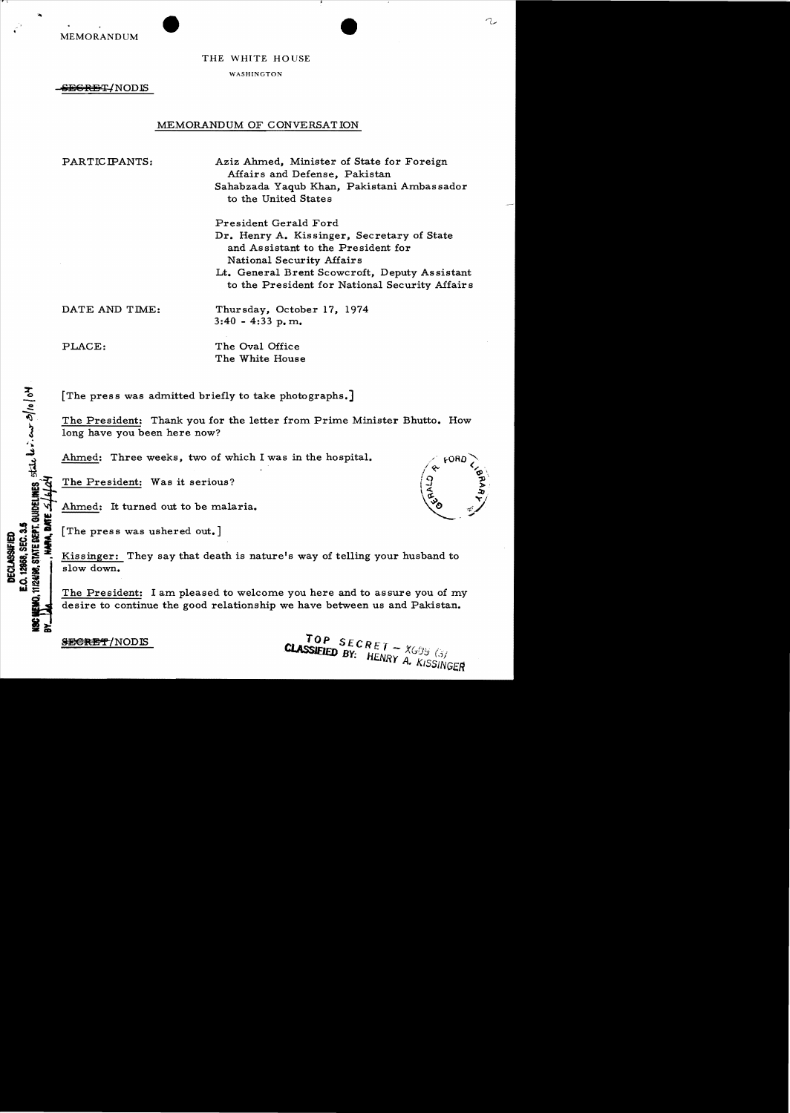MEMORANDUM

, \

THE WHITE HOUSE

WASHINGTON

<del>SECRET</del>/NODIS

## MEMORANDUM OF CONVERSATION

PARTICIPANTS: Aziz Ahmed, Minister of State for Foreign Affairs and Defense, Pakistan Sahabzada Yaqub Khan, Pakistani Ambassador to the United States

> President Gerald Ford Dr. Henry A. Kissinger, Secretary of State and Assistant to the President for National Security Affairs Lt. General Brent Scowcroft, Deputy As sistant to the President for National Security Affair s

DATE AND TIME: Thursday, October 17, 1974  $3:40 - 4:33$  p.m.

 $\overline{z}$ 

de levien

 $\sim$ 

**DEC<br>:0.12<br>12498 Ill;:**..

PLACE: The Oval Office The White House

[The press was admitted briefly to take photographs.]

The President: Thank you for the letter from Prime Minister Bhutto. How long have you been here now?

Ahmed: Three weeks, two of which I was in the hospital.

The President: Was it serious?

Ahmed: It turned out to be malaria.

ED<br>0.3.5<br>**A. BATE**<br>**A. BATE** 

EQUEST [The press was ushered out.]<br>
SHOW CONDENSE FOR SALES FOR SALES FOR SALES FOR SALES FOR SALES FOR SALES FOR SALES FOR SALES FOR SALES FOR SALES FOR SALES FOR SALES FOR SALES FOR SALES FOR SALES FOR SALES FOR SALES F slow down.

The President: I am pleased to welcome you here and to assure you of my desire to continue the good relationship we have between us and Pakistan.

SECRET/NODIS

TOP SECRET -  $XGOS$  (3)<br>CLASSIEIED BY: HENRY A. KISSINGER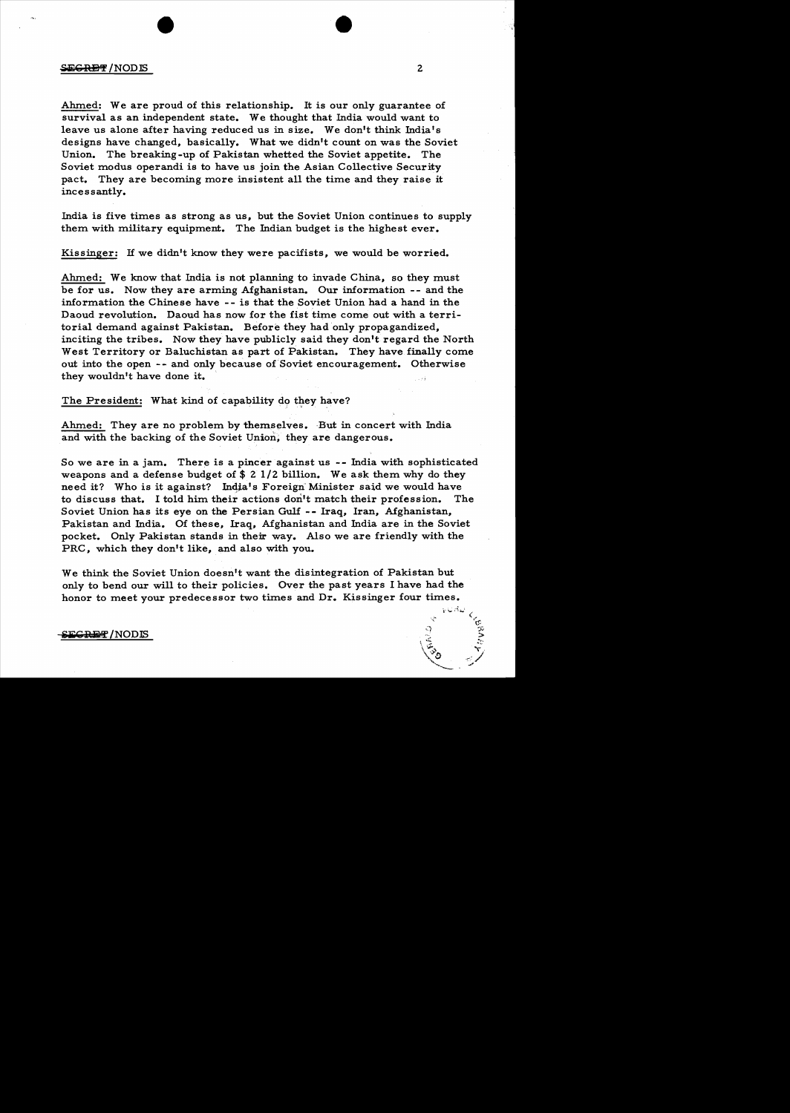### **SEGRET/NODIS**

Ahmed: We are proud of this relationship. It is our only guarantee of survival as an independent state. We thought that India would want to leave us alone after having reduced us in size. We don't think India's designs have changed, basically. What we didn't count on was the Soviet Union. The breaking-up of Pakistan whetted the Soviet appetite. The Soviet modus operandi is to have us join the Asian Collective Security pact. They are becoming more insistent all the time and they raise it incessantly.

India is five times as strong as us, but the Soviet Union continues to supply them with military equipment. The Indian budget is the highest ever.

Kissinger: If we didn't know they were pacifists, we would be worried.

Ahmed: We know that India is not planning to invade China, so they must be for us. Now they are arming Afghanistan. Our information -- and the information the Chinese have -- is that the Soviet Union had a hand in the Daoud revolution. Daoud has now for the fist time come out with a territorial demand against Pakistan. Before they had only propagandized, inciting the tribes. Now they have publicly said they don't regard the North West Territory or Baluchistan as part of Pakistan. They have finally come out into the open -- and only because of Soviet encouragement. Otherwise they wouldn't have done it.

The President: What kind of capability do they have?

Ahmed: They are no problem by themselves. But in concert with India and with the backing of the Soviet Union, they are dangerous.

So we are in a jam. There is a pincer against us -- India with sophisticated weapons and a defense budget of  $$ 2 1/2$  billion. We ask them why do they need it? Who is it against? Inqia's Foreign'Minister said we would have to discuss that. I told him their actions don't match their profession. The Soviet Union has its eye on the Persian Gulf - - Iraq, Iran, Afghanistan, Pakistan and India. Of these, Iraq, Afghanistan and India are in the Soviet pocket. Only Pakistan stands in their way. Also we are friendly with the PRC, which they don't like, and also with you.

We think the Soviet Union doesn't want the disintegration of Pakistan but only to bend our will to their policies. Over the past years I have had the honor to meet your predecessor two times and Dr. Kissinger four times.

E<del>GRET</del>/NODIS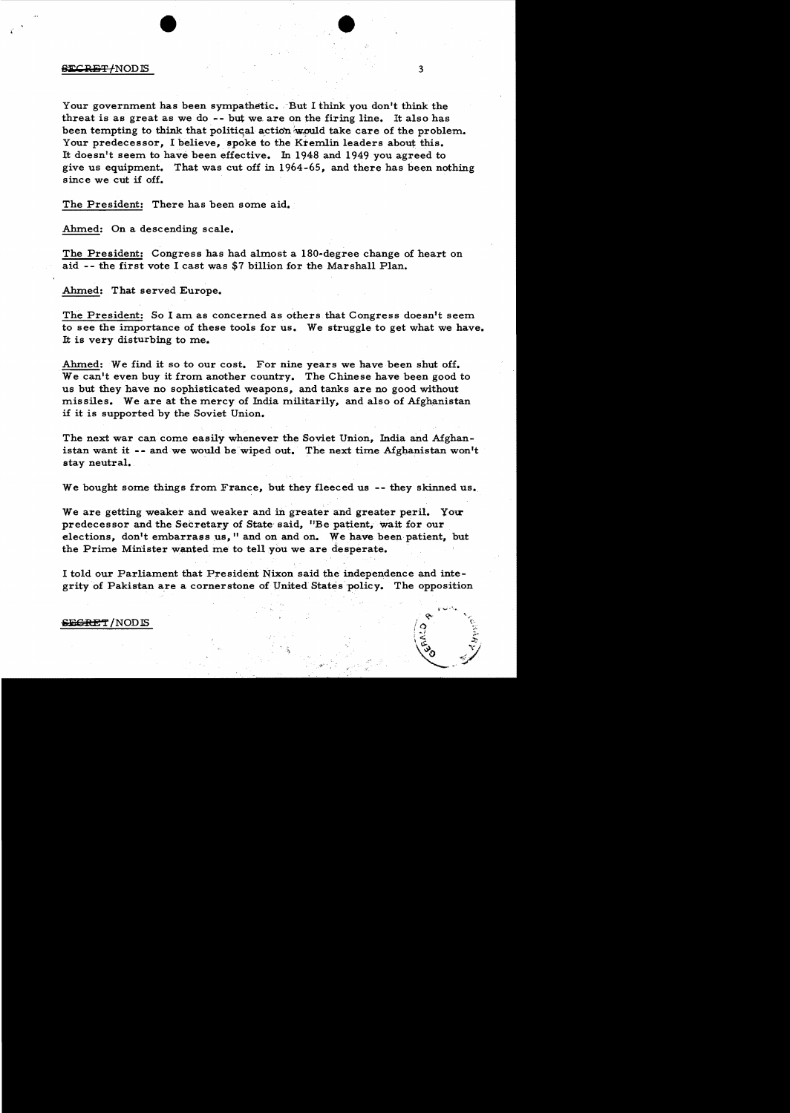#### $\overline{\text{SECRBF}}$  /NODIS 3

Your government has been sympathetic. But I think you don't think the threat is as great as we do -- but we are on the firing line. It also has been tempting to think that political action would take care of the problem. Your predecessor, I believe, spoke to the Kremlin leaders about this. It doesn't seem to have been effective. In 1948 and 1949 you agreed to give us equipment. That was cut off in 1964-65, and there has been nothing since we cut if off.

The President: There has been some aid.

Ahmed: On a descending scale.

The President: Congress has had almost a 180·degree change of heart on aid - - the first vote I cast was \$7 billion for the Marshall Plan.

Ahmed: That served Europe.

The President: So I am as concerned as others that Congress doesn't seem to see the importance of these tools for us. We struggle to get what we have. It is very disturbing to me.

Ahmed: We find it so to our cost. For nine years we have been shut off. We can't even buy it from another country. The Chinese have been good to us but they have no sophisticated weapons, and tanks are no good without missiles. We are at the mercy of India militarily, and also of Afghanistan if it is supported by the Soviet Union.

The next war can come easily whenever the Soviet Union, India and Afghanistan want it -- and we would be wiped out. The next time Afghanistan won't stay neutral.

We bought some things from France, but they fleeced us -- they skinned us.

We are getting weaker and weaker and in greater and greater peril. Your predecessor and the Secretary of State said, "Be patient, wait for our elections, don't embarrass us," and on and on. We have been patient, but the Prime Minister wanted me to tell you we are de sperate.

I told our Parliament that President Nixon said the independence and integrity of Pakistan are a cornerstone of United States policy. The opposition

### SEGRET / NODIS

,  $\overline{\mathfrak{g}}$ 

 $\sqrt{3}$   $\sqrt{7}$ 

"'!/ . -'

 $\bullet$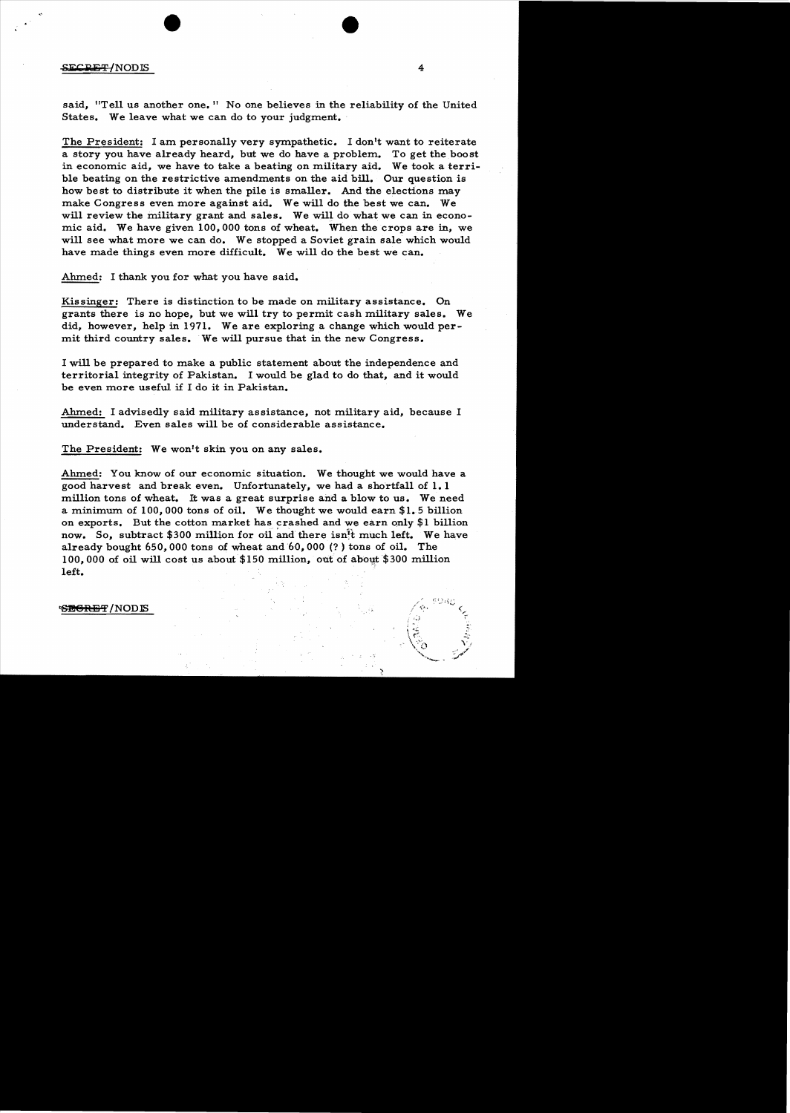#### $SECDEF/NODIS$  4

said, "Tell us another one." No one believes in the reliability of the United States. We leave what we can do to your judgment.

The President: I am personally very sympathetic. I don't want to reiterate a story you have already heard, but we do have a problem.. To get the boost in economic aid, we have to take a beating on military aid. We took a terrible beating on the restrictive amendments on the aid bill. Our question is how best to distribute it when the pile is smaller. And the elections may make Congress even more against aid. We will do the best we can. We will review the military grant and sales. We will do what we can in economic aid. We have given 100,000 tons of wheat. When the crops are in, we will see what more we can do. We stopped a Soviet grain sale which would have made things even more difficult. We will do the best we can.

Ahmed: I thank you for what you have said.

Kissinger: There is distinction to be made on military assistance. On grants there is no hope, but we will try to permit cash military sales. We did, however, help in 1971. We are exploring a change which would permit third country sales. We will pursue that in the new Congress.

I will be prepared to make a public statement about the independence and territorial integrity of Pakistan. I would be glad to do that, and it would be even more useful if I do it in Pakistan.

Ahmed: I advisedly said military assistance, not military aid, because I understand. Even sales will be of considerable assistance.

The President: We won't skin you on any sales.

Ahmed: You know of our economic situation. We thought we would have a good harvest and break even. Unfortunately, we had a shortfall of 1.1 million tons of wheat. It was a great surprise and a blow to us. We need a minimum of  $100,000$  tons of oil. We thought we would earn \$1.5 billion on exports. But the cotton market has crashed and we earn only \$1 billion now. So, subtract \$300 million for oil and there isn<sup>1</sup>t much left. We have already bought 650,000 tons of wheat and 60, 000 (?) tons of oil. The 100,000 of oil will cost us about \$150 million, out of about \$300 million left.

S<del>EGRET</del>/NODIS

 $\sim$  ...  $\sim$ 

' ...,'Ii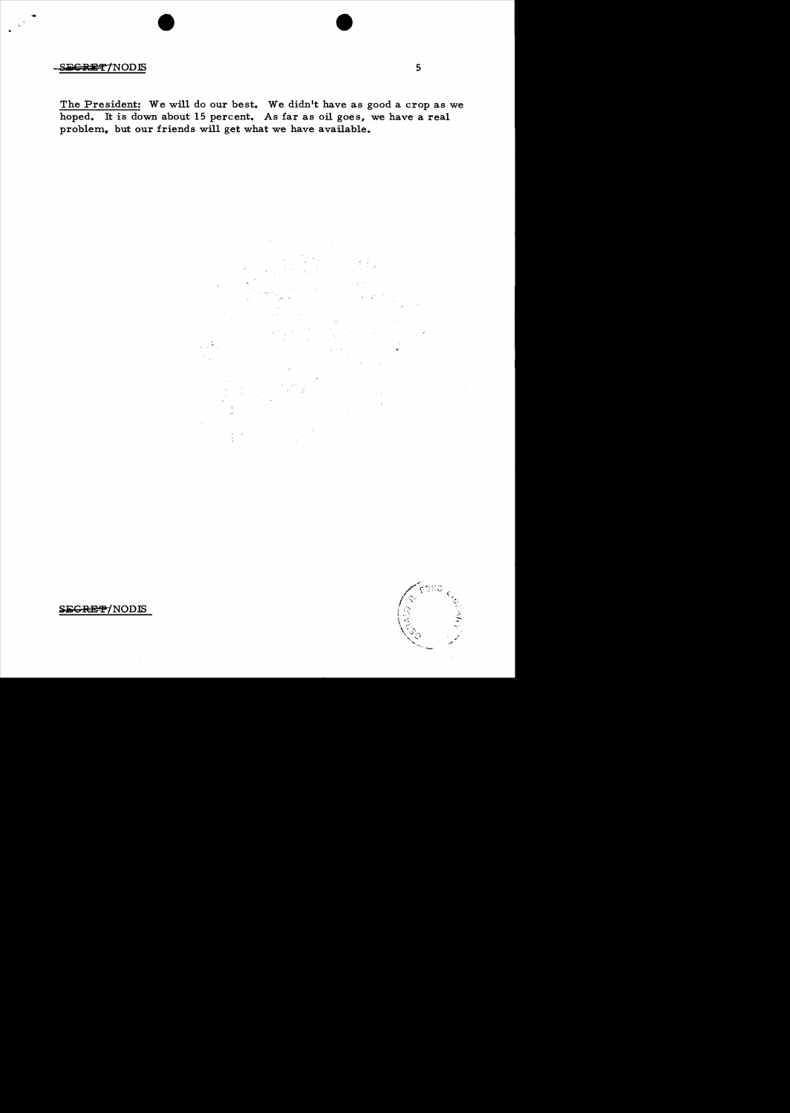## $S = F$  is a set of  $\sim$  5

The President: We will do our best. We didn't have as good a crop as we hoped. It is down about 15 percent. As far as oil goes, we have a real problem., but our friends will get what we have available.

SEGRET/NODIS

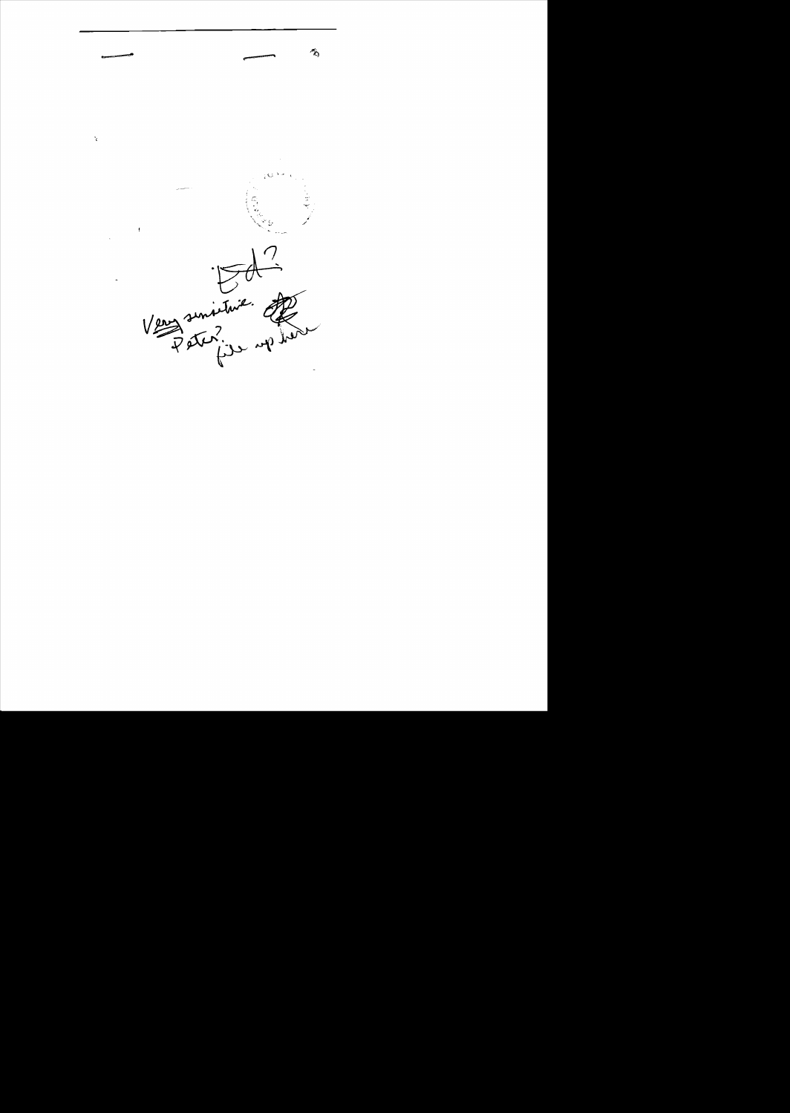

 $\mathbf{\hat{z}}$ 

Ą,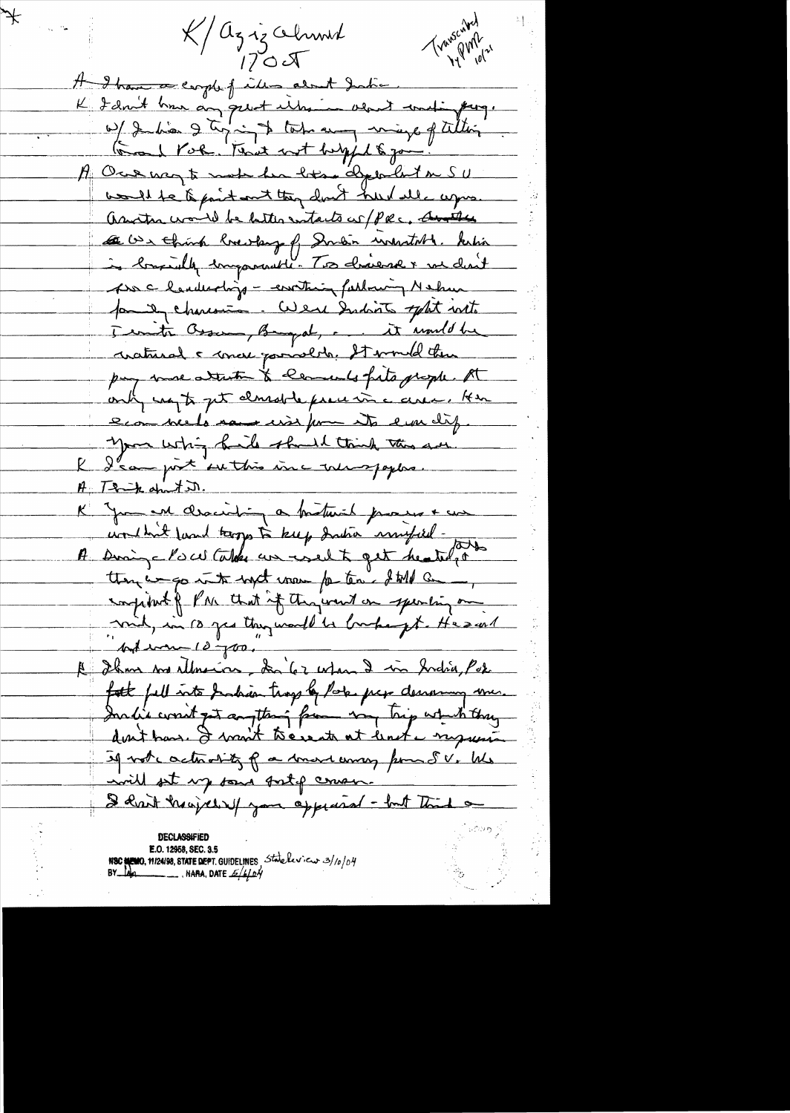K/aziz Ohmit  $170J$ 

 $\neq$ 

Transcalled

A I have a corple finder about Justic. K I don't have any great interior about wellingthing. W Judie 9 tyring total and may of tillige A Ore way to make her hotel abjourned the SU would be to paint and they don't hard all agris. assign would be better entacts of PRC, Another Le con think breaky of Suren insurtable kehin Ass c landerdrip - everthing farlowing Nehm for it charcoins. Were Indicts tophet with Territa Brown, Brigat, ... it until be cratural & concer pariserly. It would then pay more attacher to comments fats propher At only not get classific precess a cerea. Here econ neels now wise from its erre dif. you whin hills should think this are I d'au post settre inc une paper.  $H = T - k$  dut it. K Jam en closeiting a fortunit process + cur un that found tropp to keep dration ministed. then was into with mon for ten. I till a compiled of PM that if they went on specifing on mil, in 10 year they would be broken gt. He sent Autres 10700."<br>Autres 100." Les voies monder de la forme fatt fell into Inhan trop by Pole per demoning me. Inclie courit get anyttery from my try which they If not controlity of a true way pour SV. We will set up some surfor course. I hast hay did you appeared - but Think on

E.O. 12958, SEC. 3.5 NSC NEWO, 19124198, STATE DEPT. GUIDELINES Statelerica 3/10/04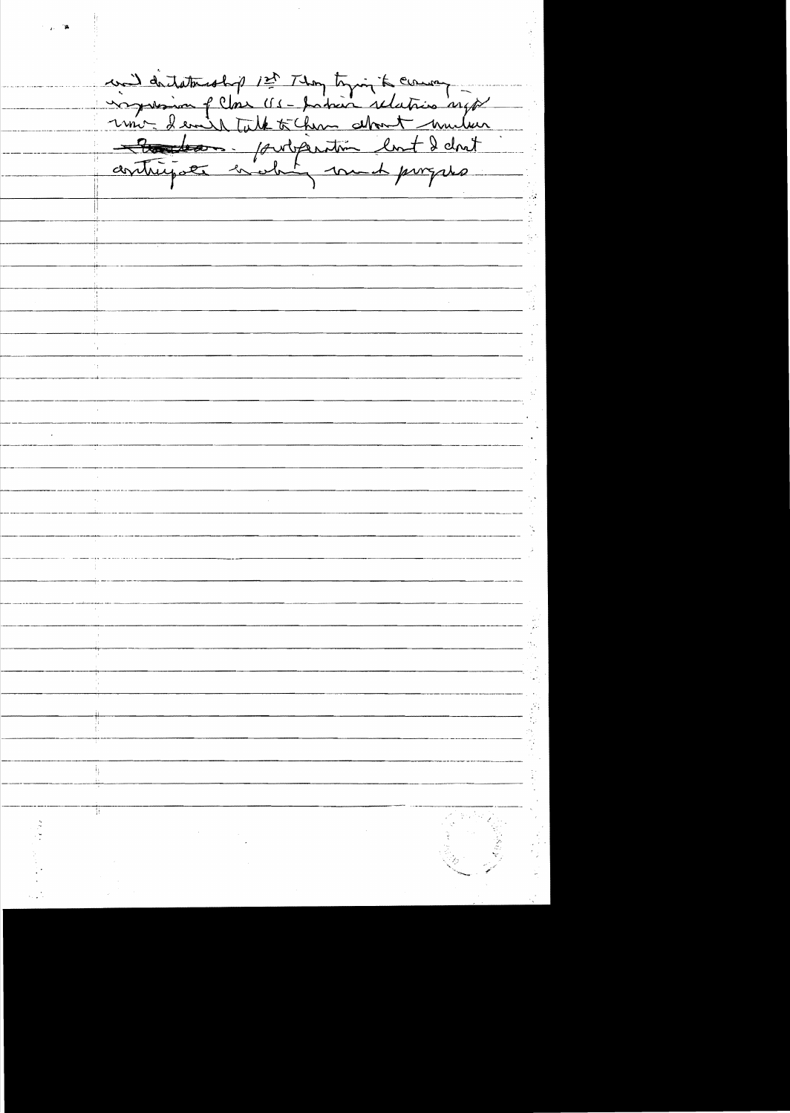und dictatement 1st Thomptomin delations with ħ.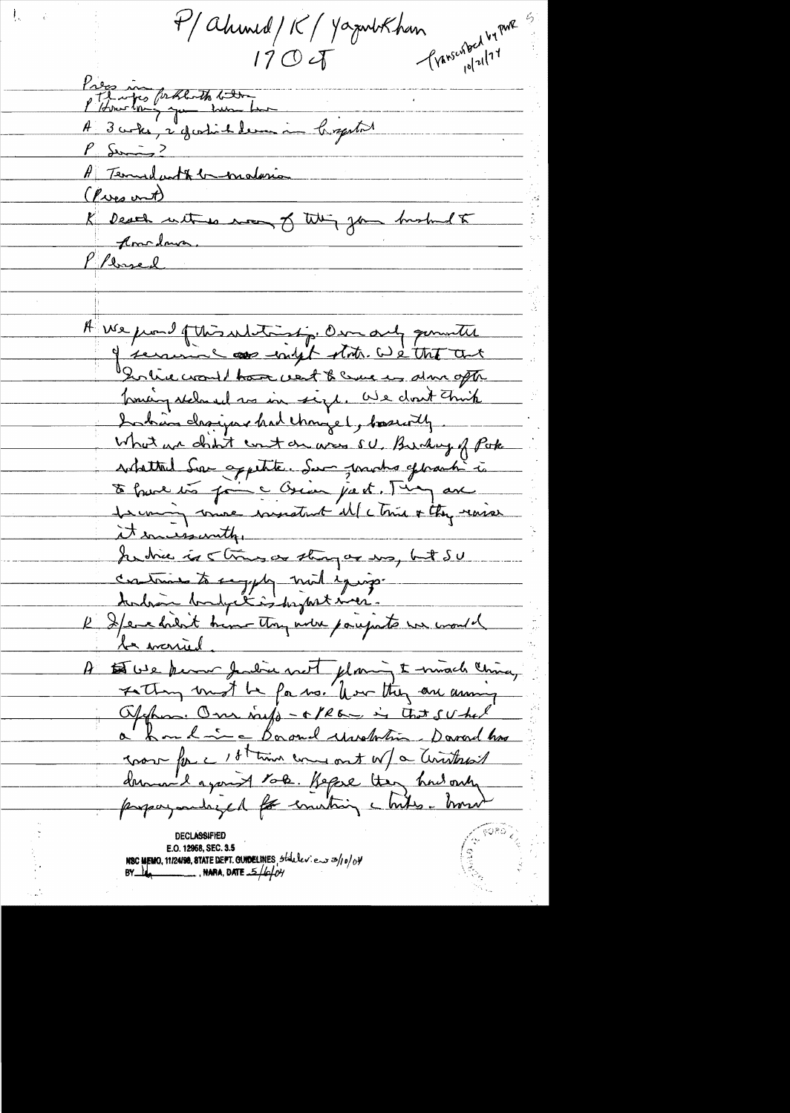P/ahmed/K/YazunbKhan<br>170 of Junschan  $10|71$ Press montes problemts boutent de la marine de la régulier de la marine de la régulier de la régulier de la régulier de la régulier de la régulier de la régulier de la régulier de la régulier de la régulier de la régulier A Terridant & bendaria (Pres out)<br>(Pres out)<br>K Dever unit es mon of this you hushed to (Pres out) Plensed A use proud of this unditing, Own and gummiter I serving as enlit state we the art In live would have vest & come in almofte Troubing stales el sos sin sigl. We don't Think Inhan chaijns had thought, boardly What we chint count on area su. Burkey of Poke solatted Ser appetite. Sur proche géneral à De france soir au Crien just. Juin avec Lemon me insistent il (cTris + they revise it incremently. Judie is string as strong as way but SU contrains to sugget mil iguige l'Ilene drient brine they were parefuts we would le monied. A tes ve perme Judice met planing & muscle china, Fathing und be fa no. for they are anny Offhom. One rays - C/REC is that suched a houdrie Baand undertie Davad hou cross forc 18t time come out of a Territorial demand agont to be. Hepse they had only propagantezed for emitting white how E.O. 12968, SEC. 3.5 NBC MEMO, 11/24/98, 8TATE DEPT. GUNDELINES, staller en 3/10/04  $BY$   $\frac{1}{4}$   $\frac{1}{4}$   $\frac{1}{4}$   $\frac{1}{4}$   $\frac{1}{4}$   $\frac{1}{4}$   $\frac{1}{4}$   $\frac{1}{4}$   $\frac{1}{4}$   $\frac{1}{4}$   $\frac{1}{4}$   $\frac{1}{4}$   $\frac{1}{4}$   $\frac{1}{4}$   $\frac{1}{4}$   $\frac{1}{4}$   $\frac{1}{4}$   $\frac{1}{4}$   $\frac{1}{4}$   $\frac{1}{4}$   $\frac{1}{4}$   $\frac{1}{4$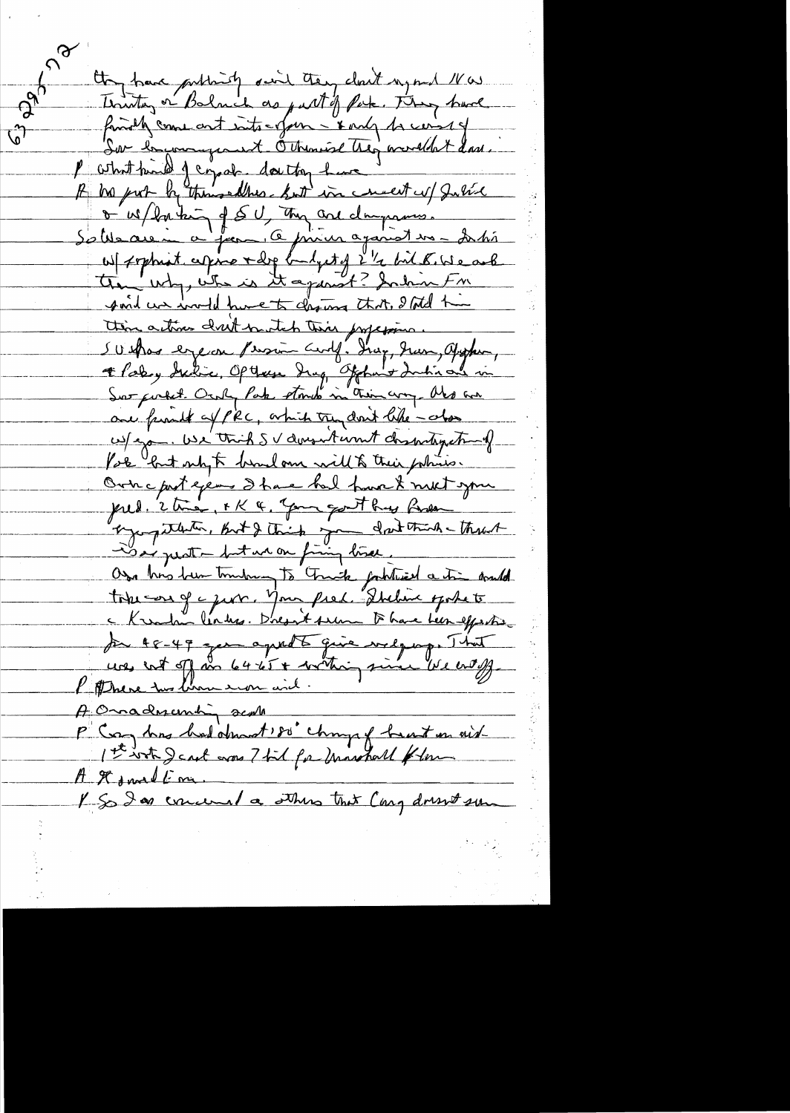they have publicity suit they cloud regard 1 w. Toutes or Balmich as put of Pak. They have finally come and into-ofun - & only to carry  $\sqrt{\hat{}}$ Dor brunningerent Otherwise they wouldn't dad. P what pind of copal, dontton have A bis port by themsellies but in concert of Justice Salisaie à famille prier against vs - Inté the why, who is it against? Indin FM point we would have to chosen that, I told him thin actives drit match this profession. SUshow export Person Certy. Ing, Jun, appear, + Pooley Incline, Opthese Ing, Offhant Inchione in one friends of PRC, which trundent like - also us/ajo. We think SV doesn't won't channing thing Pole but ship to bendom will to their policies. Own c prot eyems I have had have & meet your pred. 2 time, FK & Jame gouthy Roder ograpitation, But & think you don't think that Os his hun trubung to Truck fathered a tim and tohe corr of a just. Your fred. Diction spokets par 48-49 ger aproba quie vilgoso That uos ent off me 64 ét + mettre, since ble endy. A Onadmembin scala P Cong has had about ! so changed bent on aid A It small me. I So I as concerned a others that Cary dressed sur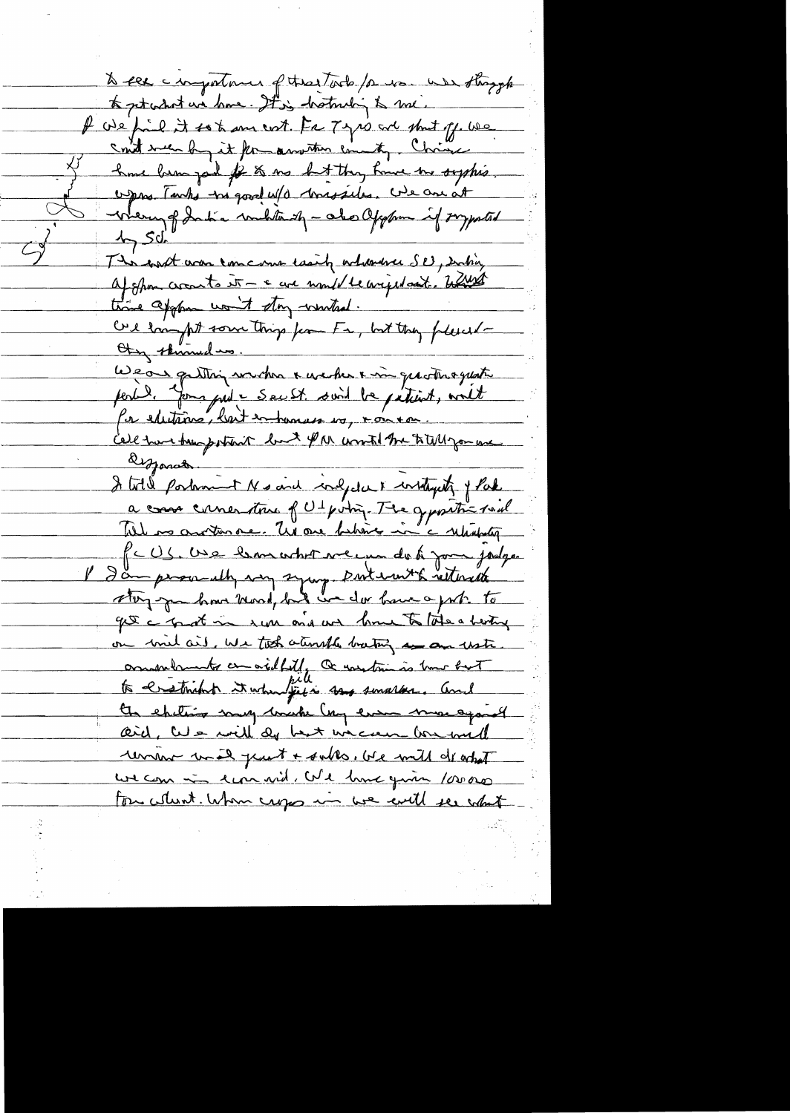to see comportance of the tools for use was strangh to pet what we have. It is hotmlig to me. If we find it so to ans not. For Type and short of we could well by it for another county. Choice have been god for to no but they have me suppris oppos. Tanks tre good w/a trassiles. We are at Were of India weblandy - also appear if symtal  $47.50$ The sand was concarne easily orthodoxe SE, Doctory af spon croats it - a we would be arged and . Which we appoint the wind . Ore from fut some things from Fa, but they follect-Wear gatting with a meter a min quotinoquate per la forma put = Sec St. suit la pétition, world for electrins, lait entomais es, voir en celle tune temporant luit \$ M unut the titulizamene It totel portraint Ns and indpotate instants of Pake a case criser tous of Ut point. The geposition of Will no another ne. Un one behover in a returnation PcUS. Use bron what we un do to your jodge I am person ultry very symp porterent withrest get a grat in run and we have to late a herting on mil ail, we took atomik bating a an uste ommer to considerly a nextrine is true but to creatinghit it when jet is say smaller, and the chitring may bruke lay even more against <u>aid, we will do but wiccur brund</u> unant unal part + sales, we will deathet ur com in reprise d'e hour qu'in 10000 For whent. When crops in we will see what